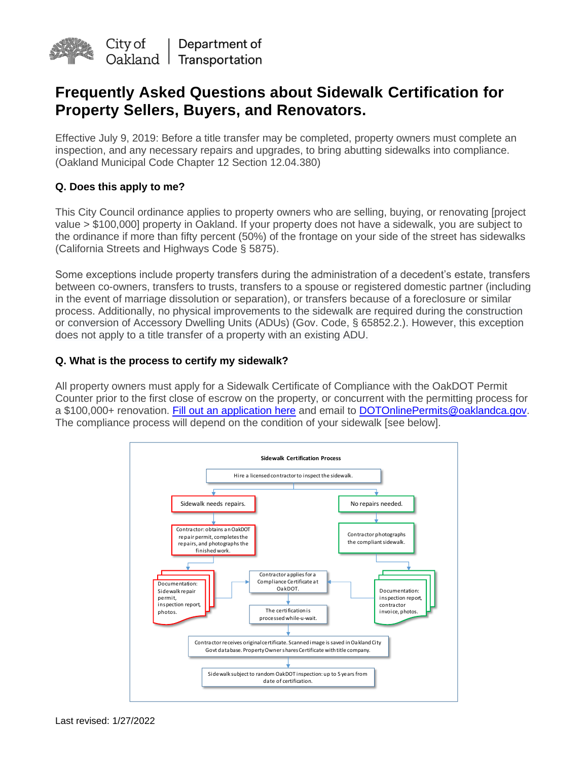

# **Frequently Asked Questions about Sidewalk Certification for Property Sellers, Buyers, and Renovators.**

Effective July 9, 2019: Before a title transfer may be completed, property owners must complete an inspection, and any necessary repairs and upgrades, to bring abutting sidewalks into compliance. (Oakland Municipal Code Chapter 12 Section 12.04.380)

# **Q. Does this apply to me?**

This City Council ordinance applies to property owners who are selling, buying, or renovating [project value > \$100,000] property in Oakland. If your property does not have a sidewalk, you are subject to the ordinance if more than fifty percent (50%) of the frontage on your side of the street has sidewalks (California Streets and Highways Code § 5875).

Some exceptions include property transfers during the administration of a decedent's estate, transfers between co-owners, transfers to trusts, transfers to a spouse or registered domestic partner (including in the event of marriage dissolution or separation), or transfers because of a foreclosure or similar process. Additionally, no physical improvements to the sidewalk are required during the construction or conversion of Accessory Dwelling Units (ADUs) (Gov. Code, § 65852.2.). However, this exception does not apply to a title transfer of a property with an existing ADU.

# **Q. What is the process to certify my sidewalk?**

All property owners must apply for a Sidewalk Certificate of Compliance with the OakDOT Permit Counter prior to the first close of escrow on the property, or concurrent with the permitting process for a \$100,000+ renovation. [Fill out an application here](https://www.oaklandca.gov/services/curb-gutter-sidewalk-permit) and email to [DOTOnlinePermits@oaklandca.gov.](mailto:DOTOnlinePermts@oaklandca.gov) The compliance process will depend on the condition of your sidewalk [see below].

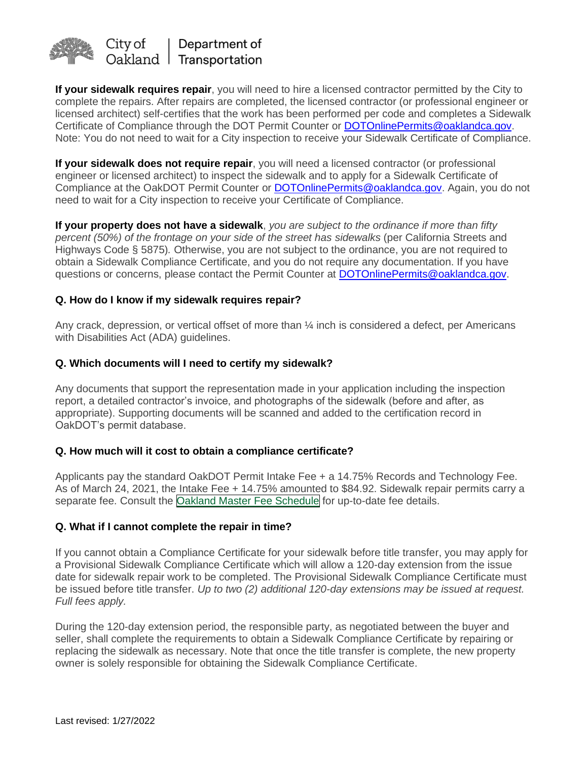

**If your sidewalk requires repair**, you will need to hire a licensed contractor permitted by the City to complete the repairs. After repairs are completed, the licensed contractor (or professional engineer or licensed architect) self-certifies that the work has been performed per code and completes a Sidewalk Certificate of Compliance through the DOT Permit Counter or [DOTOnlinePermits@oaklandca.gov.](mailto:DOTOnlinePermits@oaklandca.gov) Note: You do not need to wait for a City inspection to receive your Sidewalk Certificate of Compliance.

**If your sidewalk does not require repair**, you will need a licensed contractor (or professional engineer or licensed architect) to inspect the sidewalk and to apply for a Sidewalk Certificate of Compliance at the OakDOT Permit Counter or [DOTOnlinePermits@oaklandca.gov.](mailto:DOTOnlinePermits@oaklandca.gov) Again, you do not need to wait for a City inspection to receive your Certificate of Compliance.

**If your property does not have a sidewalk**, *you are subject to the ordinance if more than fifty percent (50%) of the frontage on your side of the street has sidewalks* (per California Streets and Highways Code § 5875)*.* Otherwise, you are not subject to the ordinance, you are not required to obtain a Sidewalk Compliance Certificate, and you do not require any documentation. If you have questions or concerns, please contact the Permit Counter at [DOTOnlinePermits@oaklandca.gov.](mailto:DOTOnlinePermits@oaklandca.gov)

# **Q. How do I know if my sidewalk requires repair?**

Any crack, depression, or vertical offset of more than  $\frac{1}{4}$  inch is considered a defect, per Americans with Disabilities Act (ADA) guidelines.

#### **Q. Which documents will I need to certify my sidewalk?**

Any documents that support the representation made in your application including the inspection report, a detailed contractor's invoice, and photographs of the sidewalk (before and after, as appropriate). Supporting documents will be scanned and added to the certification record in OakDOT's permit database.

#### **Q. How much will it cost to obtain a compliance certificate?**

Applicants pay the standard OakDOT Permit Intake Fee + a 14.75% Records and Technology Fee. As of March 24, 2021, the Intake Fee + 14.75% amounted to \$84.92. Sidewalk repair permits carry a separate fee. Consult the Oakland Master Fee [Schedule](https://www.oaklandca.gov/documents/fiscal-year-2018-2019-master-fee-schedule) for up-to-date fee details.

#### **Q. What if I cannot complete the repair in time?**

If you cannot obtain a Compliance Certificate for your sidewalk before title transfer, you may apply for a Provisional Sidewalk Compliance Certificate which will allow a 120-day extension from the issue date for sidewalk repair work to be completed. The Provisional Sidewalk Compliance Certificate must be issued before title transfer. *Up to two (2) additional 120-day extensions may be issued at request. Full fees apply.* 

During the 120-day extension period, the responsible party, as negotiated between the buyer and seller, shall complete the requirements to obtain a Sidewalk Compliance Certificate by repairing or replacing the sidewalk as necessary. Note that once the title transfer is complete, the new property owner is solely responsible for obtaining the Sidewalk Compliance Certificate.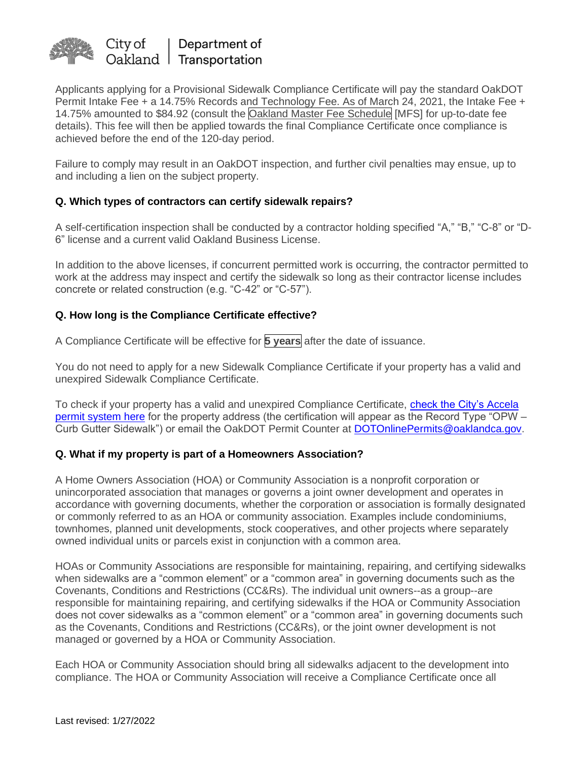

Applicants applying for a Provisional Sidewalk Compliance Certificate will pay the standard OakDOT Permit Intake Fee + a 14.75% Records and Technology Fee. As of March 24, 2021, the Intake Fee + 14.75% amounted to \$84.92 (consult the Oakland Master Fee [Schedule](https://www.oaklandca.gov/documents/fiscal-year-2018-2019-master-fee-schedule) [MFS] for up-to-date fee details). This fee will then be applied towards the final Compliance Certificate once compliance is achieved before the end of the 120-day period.

Failure to comply may result in an OakDOT inspection, and further civil penalties may ensue, up to and including a lien on the subject property.

# **Q. Which types of contractors can certify sidewalk repairs?**

A self-certification inspection shall be conducted by a contractor holding specified "A," "B," "C-8" or "D-6" license and a current valid Oakland Business License.

In addition to the above licenses, if concurrent permitted work is occurring, the contractor permitted to work at the address may inspect and certify the sidewalk so long as their contractor license includes concrete or related construction (e.g. "C-42" or "C-57").

# **Q. How long is the Compliance Certificate effective?**

A Compliance Certificate will be effective for **5 years** after the date of issuance.

You do not need to apply for a new Sidewalk Compliance Certificate if your property has a valid and unexpired Sidewalk Compliance Certificate.

To check if your property has a valid and unexpired Compliance Certificate, [check the City's Accela](https://aca-prod.accela.com/oakland/customization/common/launchpad.aspx)  [permit system here](https://aca-prod.accela.com/oakland/customization/common/launchpad.aspx) for the property address (the certification will appear as the Record Type "OPW – Curb Gutter Sidewalk") or email the OakDOT Permit Counter at [DOTOnlinePermits@oaklandca.gov.](mailto:DOTOnlinePermits@oaklandca.gov)

#### **Q. What if my property is part of a Homeowners Association?**

A Home Owners Association (HOA) or Community Association is a nonprofit corporation or unincorporated association that manages or governs a joint owner development and operates in accordance with governing documents, whether the corporation or association is formally designated or commonly referred to as an HOA or community association. Examples include condominiums, townhomes, planned unit developments, stock cooperatives, and other projects where separately owned individual units or parcels exist in conjunction with a common area.

HOAs or Community Associations are responsible for maintaining, repairing, and certifying sidewalks when sidewalks are a "common element" or a "common area" in governing documents such as the Covenants, Conditions and Restrictions (CC&Rs). The individual unit owners--as a group--are responsible for maintaining repairing, and certifying sidewalks if the HOA or Community Association does not cover sidewalks as a "common element" or a "common area" in governing documents such as the Covenants, Conditions and Restrictions (CC&Rs), or the joint owner development is not managed or governed by a HOA or Community Association.

Each HOA or Community Association should bring all sidewalks adjacent to the development into compliance. The HOA or Community Association will receive a Compliance Certificate once all